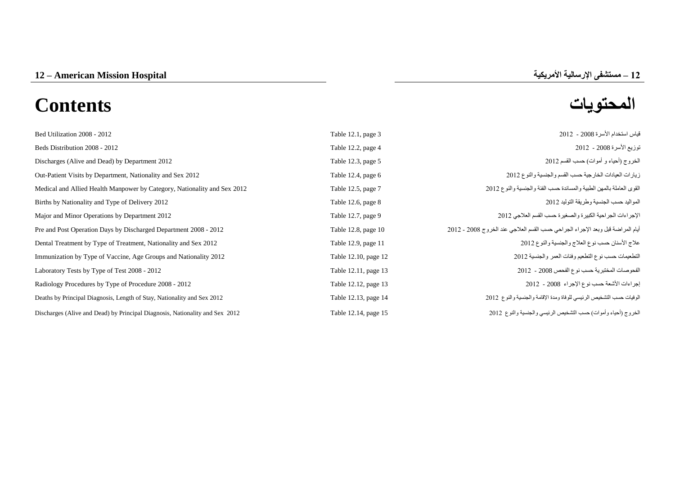# **المحتويات Contents**

| Table 12.1, page 3   | قياس استخدام الأسرة 2008 - 2012                                                 |
|----------------------|---------------------------------------------------------------------------------|
| Table 12.2, page 4   | توزيع الأسرة 2008 - 2012                                                        |
| Table 12.3, page 5   | الخروج (أحياء و أموات) حسب القسم 2012                                           |
| Table 12.4, page $6$ | زيارات العيادات الخارجية حسب القسم والجنسية والنوع 2012                         |
| Table 12.5, page 7   | القوى العاملة بالمهن الطبية والمساندة حسب الفئة والجنسية والنوع 2012            |
| Table 12.6, page 8   | المواليد حسب الجنسية وطريقة التوليد 2012                                        |
| Table 12.7, page 9   | الإجراءات الجراحية الكبيرة والصغيرة حسب القسم العلاجي 2012                      |
| Table 12.8, page 10  | أيام المراضنة قبل وبعد الإجراء الجراحي حسب القسم العلاجي عند الخروج 2008 - 2012 |
| Table 12.9, page 11  | علاج الأسنان حسب نوع العلاج والجنسية والنوع 2012                                |
| Table 12.10, page 12 | التطعيمات حسب نوع التطعيم وفئات العمر والجنسية 2012                             |
| Table 12.11, page 13 | الفحوصات المختبرية حسب نوع الفحص 2008 - 2012                                    |
| Table 12.12, page 13 | إجراءات الأشعة حسب نوع الإجراء 2008 - 2012                                      |
| Table 12.13, page 14 | الوفيات حسب التشخيص الرئيسي للوفاة ومدة الإقامة والجنسية والنوع 2012            |
| Table 12.14, page 15 | الخروج (أحياء وأموات) حسب التشخيص الرئيسي والجنسية والنوع 2012                  |
|                      |                                                                                 |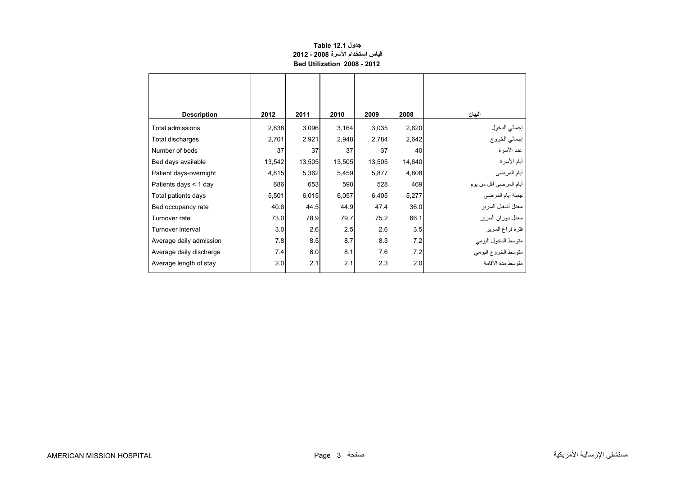## **جدول 12.1 Table قياس استخدام األسرة 2008 - 2012 Bed Utilization 2008 - 2012**

<span id="page-1-0"></span>

| <b>Description</b>      | 2012   | 2011   | 2010   | 2009   | 2008   | البيان                         |
|-------------------------|--------|--------|--------|--------|--------|--------------------------------|
| Total admissions        | 2,838  | 3,096  | 3,164  | 3,035  | 2,620  |                                |
| Total discharges        | 2,701  | 2,921  | 2,948  | 2,784  | 2,642  | إجمالي الدخول<br>إجمالي الخروج |
| Number of beds          | 37     | 37     | 37     | 37     | 40     | عدد الأسرة                     |
| Bed days available      | 13,542 | 13,505 | 13,505 | 13,505 | 14,640 | أيام الأسرة                    |
| Patient days-overnight  | 4,815  | 5,362  | 5,459  | 5,877  | 4,808  | أيام المرضى                    |
| Patients days $<$ 1 day | 686    | 653    | 598    | 528    | 469    | أيام المرضىي أقل من يوم        |
| Total patients days     | 5,501  | 6,015  | 6,057  | 6,405  | 5,277  | جملة أيام المرضي               |
| Bed occupancy rate      | 40.6   | 44.5   | 44.9   | 47.4   | 36.0   | معدل أشغال السرير              |
| Turnover rate           | 73.0   | 78.9   | 79.7   | 75.2   | 66.1   | معدل دوران السرير              |
| Turnover interval       | 3.0    | 2.6    | 2.5    | 2.6    | 3.5    | فترة فراغ السرير               |
| Average daily admission | 7.8    | 8.5    | 8.7    | 8.3    | 7.2    | متوسط الدخول اليومي            |
| Average daily discharge | 7.4    | 8.0    | 8.1    | 7.6    | 7.2    | متوسط الخروج اليومي            |
| Average length of stay  | 2.0    | 2.1    | 2.1    | 2.3    | 2.0    | متوسط مدة الأقامة              |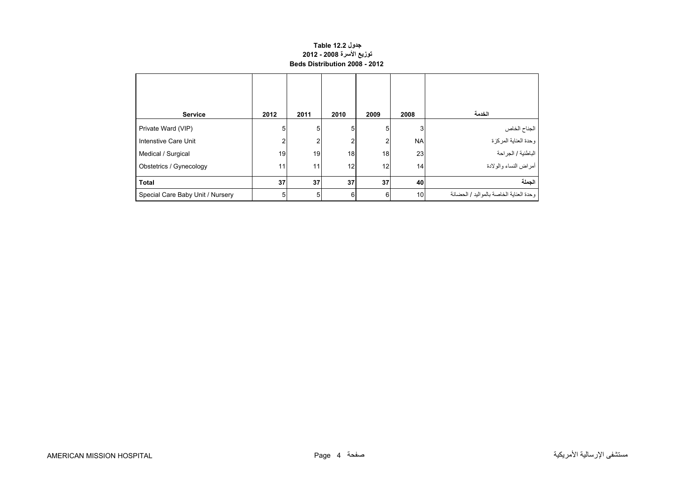#### **جدول 12.2 Table توزيع األسرة 2008 - 2012 Beds Distribution 2008 - 2012**

<span id="page-2-0"></span>

| <b>Service</b>                   | 2012            | 2011 | 2010 | 2009           | 2008            | الخدمة                                   |
|----------------------------------|-----------------|------|------|----------------|-----------------|------------------------------------------|
| Private Ward (VIP)               | 5               | 5    | 5    | 5              | 3               | الجناح الخاص                             |
| Intenstive Care Unit             | າ               |      | 2    | $\overline{2}$ | <b>NA</b>       | وحدة العناية المركزة                     |
| Medical / Surgical               | 19              | 19   | 18   | 18             | 23              | الباطنية / الجراحة                       |
| Obstetrics / Gynecology          | 11 <sub>1</sub> | 11   | 12   | 12             | 14 <sub>1</sub> | أمراض النساء والولادة                    |
| <b>Total</b>                     | 37              | 37   | 37   | 37             | 40              | الحملة                                   |
| Special Care Baby Unit / Nursery | 5               | 5    | 6    | 6              | 10              | وحدة العناية الخاصة بالمو اليد / الحضانة |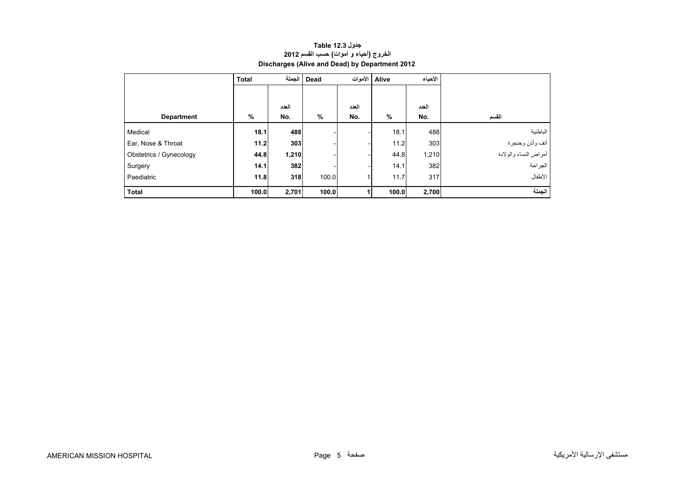<span id="page-3-0"></span>

|                         | <b>Total</b> | الحملة | Dead  |       | الأحياء<br>Alive   الأموات |       |                       |
|-------------------------|--------------|--------|-------|-------|----------------------------|-------|-----------------------|
|                         |              |        |       |       |                            |       |                       |
|                         |              | العدد  |       | العدد |                            | العدد |                       |
| <b>Department</b>       | $\%$         | No.    | %     | No.   | $\frac{0}{0}$              | No.   | القسم                 |
| Medical                 | 18.1         | 488    |       |       | 18.1                       | 488   | الباطنية              |
| Ear, Nose & Throat      | 11.2         | 303    |       |       | 11.2                       | 303   | انف وأذن وحنجرة       |
| Obstetrics / Gynecology | 44.8         | 1,210  |       |       | 44.8                       | 1,210 | أمراض النساء والولادة |
| Surgery                 | 14.1         | 382    |       |       | 14.1                       | 382   | الجراحة               |
| Paediatric              | 11.8         | 318    | 100.0 |       | 11.7                       | 317   | الأطفال               |
| <b>Total</b>            | 100.0        | 2,701  | 100.0 |       | 100.0                      | 2,700 | الجملة                |

## **جدول 12.3 Table الخروج (أحياء <sup>و</sup> أموات) حسب القسم <sup>2012</sup> Discharges (Alive and Dead) by Department 2012**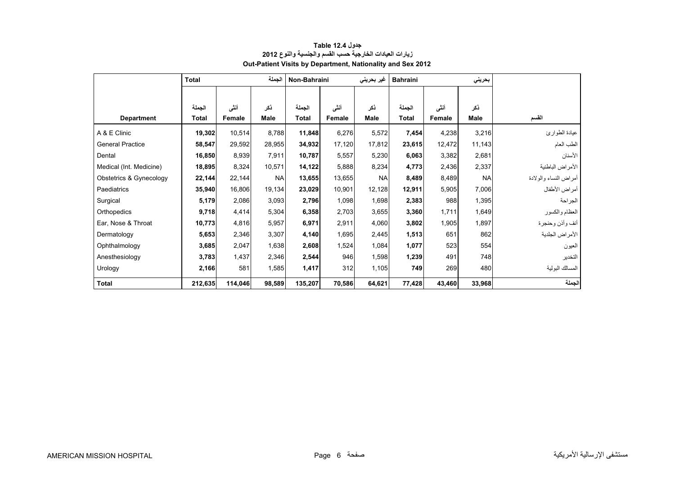<span id="page-4-0"></span>

|                         | <b>Total</b> |         | الجملة      | Non-Bahraini |        | غیر بحرینی  | <b>Bahraini</b> |        | بحريني    |                       |
|-------------------------|--------------|---------|-------------|--------------|--------|-------------|-----------------|--------|-----------|-----------------------|
|                         |              |         |             |              |        |             |                 |        |           |                       |
|                         | الجملة       | أننى    | نكر         | الجملة       | أنشى   | ذكر         | الجملة          | أنشى   | ذكر       |                       |
| <b>Department</b>       | <b>Total</b> | Female  | <b>Male</b> | Total        | Female | <b>Male</b> | Total           | Female | Male      | القسم                 |
| A & E Clinic            | 19,302       | 10,514  | 8,788       | 11,848       | 6,276  | 5,572       | 7,454           | 4,238  | 3,216     | عيادة الطوارئ         |
| <b>General Practice</b> | 58,547       | 29,592  | 28,955      | 34,932       | 17,120 | 17,812      | 23,615          | 12,472 | 11,143    | الطب العام            |
| Dental                  | 16,850       | 8,939   | 7,911       | 10,787       | 5,557  | 5,230       | 6,063           | 3,382  | 2,681     | الأسنان               |
| Medical (Int. Medicine) | 18,895       | 8,324   | 10,571      | 14,122       | 5,888  | 8,234       | 4,773           | 2,436  | 2,337     | الأمراض الباطنية      |
| Obstetrics & Gynecology | 22,144       | 22,144  | <b>NA</b>   | 13,655       | 13,655 | <b>NA</b>   | 8,489           | 8,489  | <b>NA</b> | أمراض النساء والولادة |
| Paediatrics             | 35,940       | 16,806  | 19,134      | 23,029       | 10,901 | 12,128      | 12,911          | 5,905  | 7,006     | أمراض الأطفال         |
| Surgical                | 5,179        | 2,086   | 3,093       | 2,796        | 1,098  | 1,698       | 2,383           | 988    | 1,395     | الجراحة               |
| Orthopedics             | 9,718        | 4,414   | 5,304       | 6,358        | 2,703  | 3,655       | 3,360           | 1,711  | 1,649     | العظام والكسور        |
| Ear, Nose & Throat      | 10,773       | 4,816   | 5,957       | 6,971        | 2,911  | 4,060       | 3,802           | 1,905  | 1,897     | أنف وأذن وحنجرة       |
| Dermatology             | 5,653        | 2,346   | 3,307       | 4,140        | 1,695  | 2,445       | 1,513           | 651    | 862       | الأمراض الجلدية       |
| Ophthalmology           | 3,685        | 2,047   | 1,638       | 2,608        | 1,524  | 1,084       | 1,077           | 523    | 554       | العيون                |
| Anesthesiology          | 3,783        | 1,437   | 2,346       | 2,544        | 946    | 1,598       | 1,239           | 491    | 748       | التخدير               |
| Urology                 | 2,166        | 581     | 1,585       | 1,417        | 312    | 1,105       | 749             | 269    | 480       | المسالك البولية       |
| <b>Total</b>            | 212,635      | 114,046 | 98,589      | 135,207      | 70,586 | 64,621      | 77,428          | 43,460 | 33,968    | الجملة                |

#### **جدول 12.4 Table زيارات العيادات الخارجية حسب القسم والجنسية والنوع <sup>2012</sup> Out-Patient Visits by Department, Nationality and Sex 2012**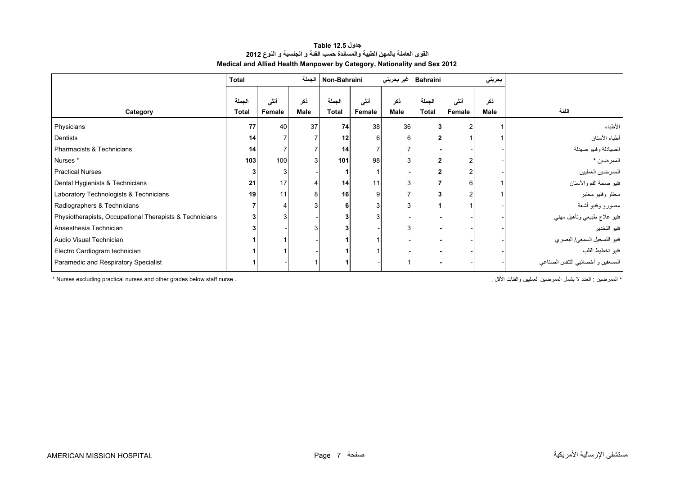| جدول Table 12.5                                                          |
|--------------------------------------------------------------------------|
| القوى العاملة بالمهن الطبية والمساندة حسب الفنة و الجنسية و النوع 2012   |
| Medical and Allied Health Manpower by Category, Nationality and Sex 2012 |

<span id="page-5-0"></span>

|                                                         | Total                  |                |             | Non-Bahraini           |                | غير بحريني  | <b>Bahraini</b> |                | بحريني             |                                   |
|---------------------------------------------------------|------------------------|----------------|-------------|------------------------|----------------|-------------|-----------------|----------------|--------------------|-----------------------------------|
| Category                                                | الجملة<br><b>Total</b> | أنشى<br>Female | نكر<br>Male | الجملة<br><b>Total</b> | أنشى<br>Female | ذكر<br>Male | الجملة<br>Total | أنشى<br>Female | ذكر<br><b>Male</b> | الفنة                             |
| Physicians                                              | 77                     | 40             | 37          | 74                     | 38             | 36          |                 |                |                    | الأطباء                           |
| Dentists                                                | 14                     |                |             | 12                     | 6              |             |                 |                |                    | أطباء الأسنان                     |
| Pharmacists & Technicians                               | 14                     |                |             | 14                     |                |             |                 |                |                    | الصيادلة وفنيو صيدلة              |
| Nurses *                                                | 103                    | 100            | 3           | 101                    | 98             |             |                 |                |                    | الممرضين *                        |
| <b>Practical Nurses</b>                                 |                        |                |             |                        |                |             |                 |                |                    | الممرضين العمليين                 |
| Dental Hygienists & Technicians                         | 21                     | 17             |             | 14                     | 11             |             |                 |                |                    | فنيو صحة الفم والأسنان            |
| Laboratory Technologists & Technicians                  | 19                     | 11             | 8           | 16                     | 9              |             |                 |                |                    | محللو وفنيو مختبر                 |
| Radiographers & Technicians                             |                        |                |             |                        |                |             |                 |                |                    | مصورو وفنيو أشعة                  |
| Physiotherapists, Occupational Therapists & Technicians |                        |                |             |                        |                |             |                 |                |                    | فنيو علاج طبيعي وتأهيل مهني       |
| Anaesthesia Technician                                  |                        |                |             |                        |                |             |                 |                |                    | فنيو التخدير                      |
| Audio Visual Technician                                 |                        |                |             |                        |                |             |                 |                |                    | فنيو التسجيل السمعي/ البصري       |
| Electro Cardiogram technician                           |                        |                |             |                        |                |             |                 |                |                    | فنيو تخطيط القلب                  |
| Paramedic and Respiratory Specialist                    |                        |                |             |                        |                |             |                 |                |                    | المسعفين و أخصائيي التنفس الصناعي |

\* Nurses excluding practical nurses and other grades below staff nurse . . . . . الممرضين الممرضين الممرضين الممرضين المعليين والفئات الأقل .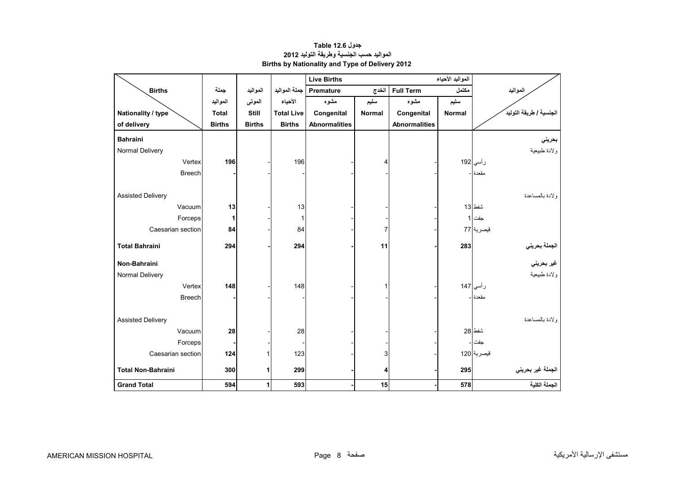<span id="page-6-0"></span>

|                           |               |               |                   | <b>Live Births</b>   |                |                      |               |                         |
|---------------------------|---------------|---------------|-------------------|----------------------|----------------|----------------------|---------------|-------------------------|
| <b>Births</b>             | جملة          | المواليد      | جملة المواليد     | <b>Premature</b>     | الخدج          | <b>Full Term</b>     | مكتمل         | المواليد                |
|                           | المواليد      | الموتى        | الأحياء           | مشوه                 | سليم           | مشوه                 | سليم          |                         |
| Nationality / type        | <b>Total</b>  | <b>Still</b>  | <b>Total Live</b> | Congenital           | <b>Normal</b>  | Congenital           | <b>Normal</b> | الجنسية / طريقة التوليد |
| of delivery               | <b>Births</b> | <b>Births</b> | <b>Births</b>     | <b>Abnormalities</b> |                | <b>Abnormalities</b> |               |                         |
| <b>Bahraini</b>           |               |               |                   |                      |                |                      |               | بحريني                  |
| Normal Delivery           |               |               |                   |                      |                |                      |               | ولادة طبيعية            |
| Vertex                    | 196           |               | 196               |                      | 4              |                      |               | رأسي 192                |
| <b>Breech</b>             |               |               |                   |                      |                |                      |               | مقعدة                   |
|                           |               |               |                   |                      |                |                      |               |                         |
| <b>Assisted Delivery</b>  |               |               |                   |                      |                |                      |               | ولادة بالمساعدة         |
| Vacuum                    | 13            |               | 13                |                      |                |                      |               | شفط 13                  |
| Forceps                   | 1             |               | 1                 |                      |                |                      |               | جفت 1                   |
| Caesarian section         | 84            |               | 84                |                      | $\overline{7}$ |                      |               | قيصرية 77               |
| <b>Total Bahraini</b>     |               |               |                   |                      | 11             |                      |               |                         |
|                           | 294           |               | 294               |                      |                |                      | 283           | الجملة بحرين <i>ي</i>   |
| Non-Bahraini              |               |               |                   |                      |                |                      |               | غير بحرين <i>ي</i>      |
| Normal Delivery           |               |               |                   |                      |                |                      |               | ولادة طبيعية            |
| Vertex                    | 148           |               | 148               |                      | $\mathbf{1}$   |                      |               | رأسي 147                |
| <b>Breech</b>             |               |               |                   |                      |                |                      |               | مقعدة -                 |
|                           |               |               |                   |                      |                |                      |               |                         |
| <b>Assisted Delivery</b>  |               |               |                   |                      |                |                      |               | ولادة بالمساعدة         |
| Vacuum                    | 28            |               | 28                |                      |                |                      |               | شفط 28                  |
| Forceps                   |               |               |                   |                      |                |                      |               | جفت                     |
| Caesarian section         | 124           | 1             | 123               |                      | 3              |                      |               | فيصرية 120              |
| <b>Total Non-Bahraini</b> | 300           | 1             | 299               |                      | 4              |                      | 295           | الجملة غير بحريني       |
|                           |               |               |                   |                      |                |                      |               |                         |
| <b>Grand Total</b>        | 594           | 1             | 593               |                      | 15             |                      | 578           | الجملة الكلية           |

**جدول 12.6 Table المواليد حسب الجنسية وطريقة التوليد <sup>2012</sup> Births by Nationality and Type of Delivery 2012**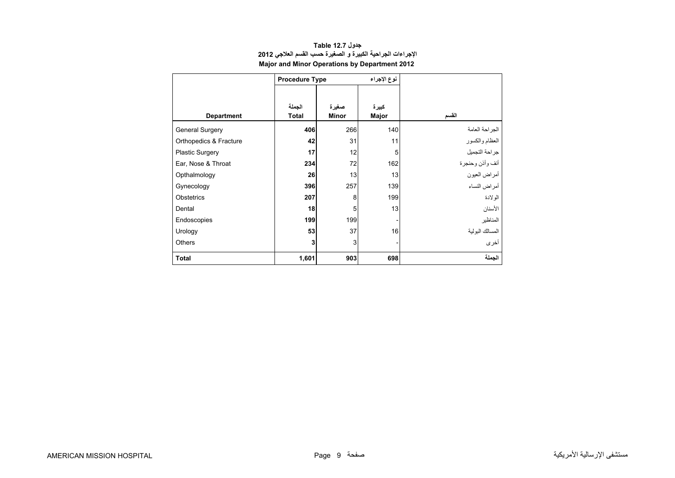<span id="page-7-0"></span>

|                        | <b>Procedure Type</b> |              | نوع الإجراء |                  |
|------------------------|-----------------------|--------------|-------------|------------------|
|                        |                       |              |             |                  |
|                        | الجملة                | صغيرة        | كبيرة       |                  |
| <b>Department</b>      | <b>Total</b>          | <b>Minor</b> | Major       | القسم            |
| <b>General Surgery</b> | 406                   | 266          | 140         | الجراحة العامة   |
| Orthopedics & Fracture | 42                    | 31           | 11          | العظام والكسور   |
| <b>Plastic Surgery</b> | 17                    | 12           | 5           | جراحة التجميل    |
| Ear, Nose & Throat     | 234                   | 72           | 162         | أنف وأذن وحنجرة  |
| Opthalmology           | 26                    | 13           | 13          | أمراض العيون     |
| Gynecology             | 396                   | 257          | 139         | أمراض النساء     |
| Obstetrics             | 207                   | 8            | 199         | الو لادة         |
| Dental                 | 18                    | 5            | 13          | الأسنان          |
| Endoscopies            | 199                   | 199          |             | المناظير         |
| Urology                | 53                    | 37           | 16          | المسالك البو لية |
| <b>Others</b>          | 3                     | 3            |             | أخرى             |
| <b>Total</b>           | 1,601                 | 903          | 698         | الجملة           |

#### **جدول 12.7 Table اإلجراءات الجراحية الكبيرة <sup>و</sup> الصغيرة حسب القسم العالجي <sup>2012</sup> Major and Minor Operations by Department 2012**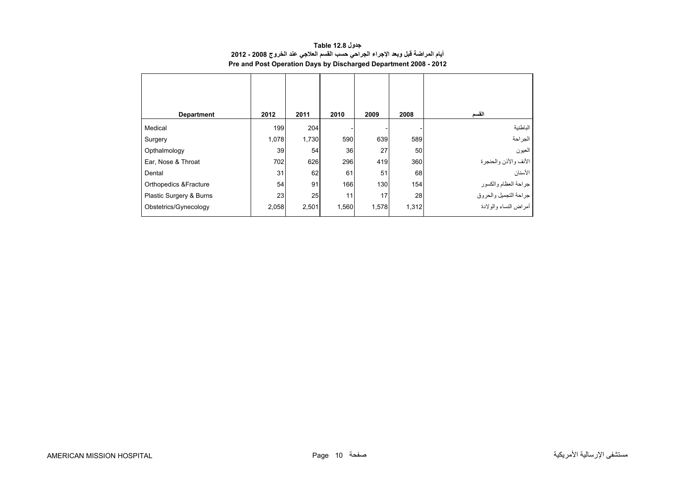<span id="page-8-0"></span>

| <b>Department</b>                | 2012  | 2011  | 2010  | 2009  | 2008  | القسم                                                                  |
|----------------------------------|-------|-------|-------|-------|-------|------------------------------------------------------------------------|
| Medical                          | 199   | 204   |       |       |       | الباطنية                                                               |
| Surgery                          | 1,078 | 1,730 | 590   | 639   | 589   | الجراحة                                                                |
| Opthalmology                     | 39    | 54    | 36    | 27    | 50    | العيون                                                                 |
| Ear, Nose & Throat               | 702   | 626   | 296   | 419   | 360   | الأنف والأذن والحنجرة                                                  |
| Dental                           | 31    | 62    | 61    | 51    | 68    | الأسنان                                                                |
| <b>Orthopedics &amp;Fracture</b> | 54    | 91    | 166   | 130   | 154   |                                                                        |
| Plastic Surgery & Burns          | 23    | 25    | 11    | 17    | 28    | جراحة العظام والكسور<br>جراحة التجميل والحروق<br>أمراض النساء والولادة |
| Obstetrics/Gynecology            | 2,058 | 2,501 | 1,560 | 1,578 | 1,312 |                                                                        |

**جدول 12.8 Table أيام المراضة قبل وبعد اإلجراء الجراحي حسب القسم العالجي عند الخروج 2008 - 2012 Pre and Post Operation Days by Discharged Department 2008 - 2012**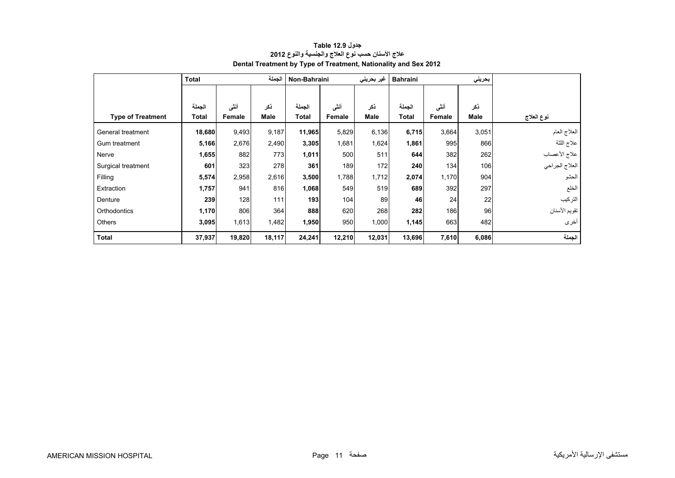<span id="page-9-0"></span>

|                          | <b>Total</b> |        | الجملة | Non-Bahraini |        | غير بحريني | <b>Bahraini</b> |        | بحريني |                |
|--------------------------|--------------|--------|--------|--------------|--------|------------|-----------------|--------|--------|----------------|
|                          |              |        |        |              |        |            |                 |        |        |                |
|                          | الجملة       | أننى   | نكر    | الجملة       | أننى   | ذكر        | الجملة          | أننى   | ذكر    |                |
| <b>Type of Treatment</b> | Total        | Female | Male   | <b>Total</b> | Female | Male       | <b>Total</b>    | Female | Male   | نوع العلاج     |
| General treatment        | 18,680       | 9,493  | 9,187  | 11,965       | 5,829  | 6,136      | 6,715           | 3,664  | 3,051  | العلاج العام   |
| Gum treatment            | 5,166        | 2,676  | 2,490  | 3,305        | 1,681  | 1,624      | 1,861           | 995    | 866    | علاج اللثة     |
| Nerve                    | 1,655        | 882    | 773    | 1,011        | 500    | 511        | 644             | 382    | 262    | علاج الأعصاب   |
| Surgical treatment       | 601          | 323    | 278    | 361          | 189    | 172        | 240             | 134    | 106    | العلاج الجراحي |
| Filling                  | 5,574        | 2,958  | 2,616  | 3,500        | 1,788  | 1,712      | 2,074           | 1,170  | 904    | الحشو          |
| Extraction               | 1,757        | 941    | 816    | 1,068        | 549    | 519        | 689             | 392    | 297    | الخلع          |
| Denture                  | 239          | 128    | 111    | 193          | 104    | 89         | 46              | 24     | 22     | التركيب        |
| Orthodontics             | 1,170        | 806    | 364    | 888          | 620    | 268        | 282             | 186    | 96     | تقويم الأسنان  |
| <b>Others</b>            | 3,095        | 1,613  | 1,482  | 1,950        | 950    | 1,000      | 1,145           | 663    | 482    | أخرى           |
| <b>Total</b>             | 37,937       | 19,820 | 18,117 | 24,241       | 12,210 | 12,031     | 13,696          | 7,610  | 6,086  | الجملة         |

#### **جدول 12.9 Table عالج األسنان حسب نوع العالج والجنسية والنوع <sup>2012</sup> Dental Treatment by Type of Treatment, Nationality and Sex 2012**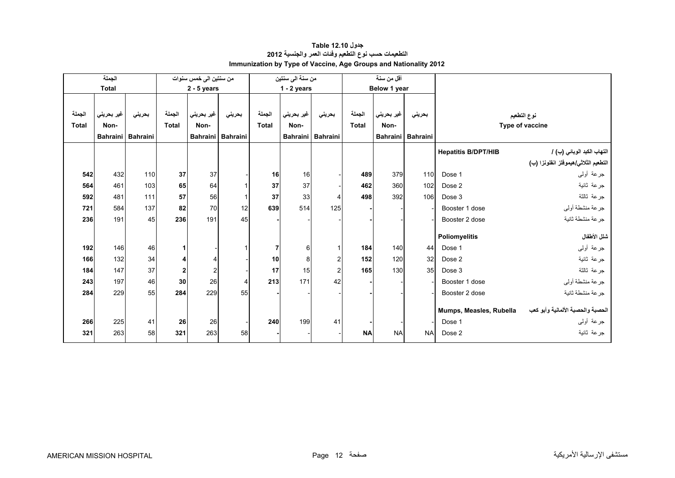<span id="page-10-0"></span>

|              | الجملة          |          |                | من سنتين الى خمس سنوات |          |              | من سنة الى سنتين |                         | أقل من سنة   |              |                   |                            |                                      |
|--------------|-----------------|----------|----------------|------------------------|----------|--------------|------------------|-------------------------|--------------|--------------|-------------------|----------------------------|--------------------------------------|
|              | <b>Total</b>    |          |                | $2 - 5$ years          |          |              | $1 - 2$ years    |                         |              | Below 1 year |                   |                            |                                      |
|              |                 |          |                |                        |          |              |                  |                         |              |              |                   |                            |                                      |
| الجملة       | غير بحريني      | بحريني   | الجملة         | غير بحريني             | بحرينى   | الجملة       | غير بحريني       | بحريني                  | الجملة       | غير بحريني   | بحريني            |                            | نوع التطعيم                          |
| <b>Total</b> | Non-            |          | <b>Total</b>   | Non-                   |          | <b>Total</b> | Non-             |                         | <b>Total</b> | Non-         |                   |                            | Type of vaccine                      |
|              | <b>Bahraini</b> | Bahraini |                | <b>Bahraini</b>        | Bahraini |              |                  | Bahraini Bahraini       |              |              | Bahraini Bahraini |                            |                                      |
|              |                 |          |                |                        |          |              |                  |                         |              |              |                   | <b>Hepatitis B/DPT/HIB</b> | التهاب الكبد الوبائي (ب) /           |
|              |                 |          |                |                        |          |              |                  |                         |              |              |                   |                            | التطعيم الثلاثي/هيموفلز انفلونزا (ب) |
| 542          | 432             | 110      | 37             | 37                     |          | 16           | 16               |                         | 489          | 379          | 110               | Dose 1                     | جرعة أولىي                           |
| 564          | 461             | 103      | 65             | 64                     |          | 37           | 37               |                         | 462          | 360          | 102               | Dose 2                     | جرعة ثانية                           |
| 592          | 481             | 111      | 57             | 56                     |          | 37           | 33               | $\overline{4}$          | 498          | 392          | 106               | Dose 3                     | جر عة ثالثة                          |
| 721          | 584             | 137      | 82             | 70                     | 12       | 639          | 514              | 125                     |              |              |                   | Booster 1 dose             | جرعة منشطة أولى                      |
| 236          | 191             | 45       | 236            | 191                    | 45       |              |                  |                         |              |              |                   | Booster 2 dose             | جرعة منشطة ثانية                     |
|              |                 |          |                |                        |          |              |                  |                         |              |              |                   |                            |                                      |
|              |                 |          |                |                        |          |              |                  |                         |              |              |                   | Poliomyelitis              | شلل الأطفال                          |
| 192          | 146             | 46       | 11             |                        |          | 7            | 6                | 1                       | 184          | 140          | 44                | Dose 1                     | جرعة أولىي                           |
| 166          | 132             | 34       | $\overline{4}$ | 4                      |          | 10           | 8                | $\overline{\mathbf{c}}$ | 152          | 120          | 32                | Dose 2                     | جرعة ثانية                           |
| 184          | 147             | 37       | 2              | $\overline{c}$         |          | 17           | 15               | $\overline{c}$          | 165          | 130          | 35                | Dose 3                     | جرعة ثالثة                           |
| 243          | 197             | 46       | 30             | 26                     | 4        | 213          | 171              | 42                      |              |              |                   | Booster 1 dose             | جرعة منشطة أولىي                     |
| 284          | 229             | 55       | 284            | 229                    | 55       |              |                  |                         |              |              |                   | Booster 2 dose             | جر عة منشطة ثانبة                    |
|              |                 |          |                |                        |          |              |                  |                         |              |              |                   | Mumps, Measles, Rubella    | الحصبة والحصبة الألمانية وأبو كعب    |
|              |                 |          |                |                        |          | 240          | 199              | 41                      |              |              |                   |                            | جرعة أولىي                           |
| 266          | 225             | 41       | 26             | 26                     |          |              |                  |                         |              |              |                   | Dose 1                     |                                      |
| 321          | 263             | 58       | 321            | 263                    | 58       |              |                  |                         | <b>NA</b>    | <b>NA</b>    | <b>NA</b>         | Dose 2                     | جر عة ثانية                          |

#### **جدول 12.10 Table التطعيمات حسب نوع التطعيم وفئات العمر والجنسية <sup>2012</sup> Immunization by Type of Vaccine, Age Groups and Nationality 2012**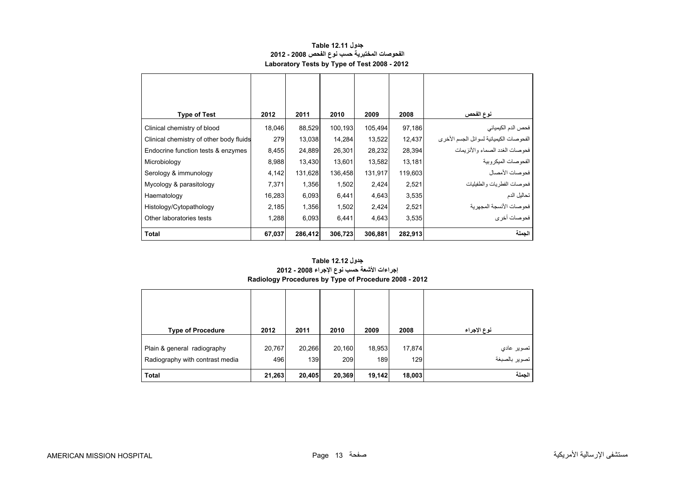<span id="page-11-0"></span>

| <b>Type of Test</b>                     | 2012   | 2011    | 2010    | 2009    | 2008    | نوع الفحص                               |
|-----------------------------------------|--------|---------|---------|---------|---------|-----------------------------------------|
| Clinical chemistry of blood             | 18,046 | 88,529  | 100,193 | 105,494 | 97,186  | فحص الدم الكيميائي                      |
| Clinical chemistry of other body fluids | 279    | 13,038  | 14,284  | 13,522  | 12,437  | الفحوصات الكيميائية لسوائل الجسم الأخرى |
| Endocrine function tests & enzymes      | 8,455  | 24,889  | 26,301  | 28,232  | 28,394  | فحو صبات الغدد الصيماء والأنز بمات      |
| Microbiology                            | 8,988  | 13,430  | 13,601  | 13,582  | 13,181  | الفحو صنات الميكر وبية                  |
| Serology & immunology                   | 4,142  | 131,628 | 136,458 | 131,917 | 119,603 | فحوصات الأمصال                          |
| Mycology & parasitology                 | 7,371  | 1,356   | 1,502   | 2,424   | 2,521   | فحو صات الفطر يات و الطفيليات           |
| Haematology                             | 16,283 | 6,093   | 6,441   | 4,643   | 3,535   | تحاليل الدم                             |
| Histology/Cytopathology                 | 2,185  | 1,356   | 1,502   | 2,424   | 2,521   | فحو صـات الأنسجة المجهر ية              |
| Other laboratories tests                | 1,288  | 6,093   | 6,441   | 4,643   | 3,535   | فحو صات أخر ي                           |
| <b>Total</b>                            | 67,037 | 286,412 | 306,723 | 306,881 | 282,913 | الجملة                                  |

#### **جدول 12.11 Table الفحوصات المختبرية حسب نوع الفحص 2008 - 2012 Laboratory Tests by Type of Test 2008 - 2012**

#### **إجراءات األشعة حسب نوع اإلجراء 2008 - 2012 Radiology Procedures by Type of Procedure 2008 - 2012 جدول 12.12 Table**

| <b>Type of Procedure</b>                                       | 2012          | 2011          | 2010          | 2009          | 2008          | نوع الإجراء                        |
|----------------------------------------------------------------|---------------|---------------|---------------|---------------|---------------|------------------------------------|
| Plain & general radiography<br>Radiography with contrast media | 20,767<br>496 | 20,266<br>139 | 20,160<br>209 | 18,953<br>189 | 17,874<br>129 | تصوير عادي<br> <br>  تصوير بالصبغة |
| <b>Total</b>                                                   | 21,263        | 20,405        | 20,369        | 19,142        | 18,003        | الحملة                             |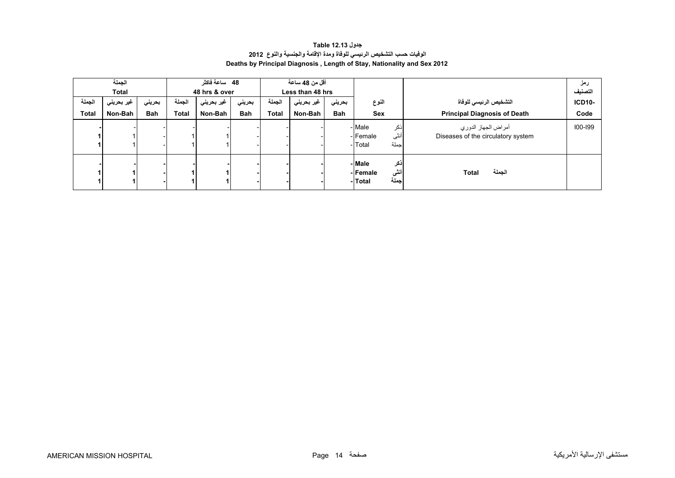# **جدول 12.13 Table الوفيات حسب التشخيص الرئيسي للوفاة ومدة اإلقامة والجنسية والنوع<sup>2012</sup> Deaths by Principal Diagnosis , Length of Stay, Nationality and Sex 2012**

<span id="page-12-0"></span>

|                 | الجملة<br><b>Total</b> |                      |                 | 48 ساعة فاكثر<br>48 hrs & over |                      |                        | أقل من 48 ساعة<br>Less than 48 hrs |                      |                                                       |                                                               | رمز<br>التصنيف        |
|-----------------|------------------------|----------------------|-----------------|--------------------------------|----------------------|------------------------|------------------------------------|----------------------|-------------------------------------------------------|---------------------------------------------------------------|-----------------------|
| الجملة<br>Total | غير بحريني<br>Non-Bah  | بحريني<br><b>Bah</b> | الجملة<br>Total | غير بحرين <i>ي</i><br>Non-Bah  | بحريني<br><b>Bah</b> | الجملة<br><b>Total</b> | غير بحريني<br>Non-Bah              | بحريني<br><b>Bah</b> | النوع<br>Sex                                          | التشخيص الرئيسي للوفاة<br><b>Principal Diagnosis of Death</b> | <b>ICD10-</b><br>Code |
|                 |                        |                      |                 |                                |                      |                        |                                    |                      | - Male<br>اذكر<br>أنثى<br>-Female<br>اجملة<br>- Total | أمراض الجهاز الدوري<br>Diseases of the circulatory system     | 100-199               |
|                 |                        |                      |                 |                                |                      |                        |                                    |                      | -Male<br>اذكر<br>أننى<br>-Female<br>إجملة<br>- Total  | الجملة<br>Total                                               |                       |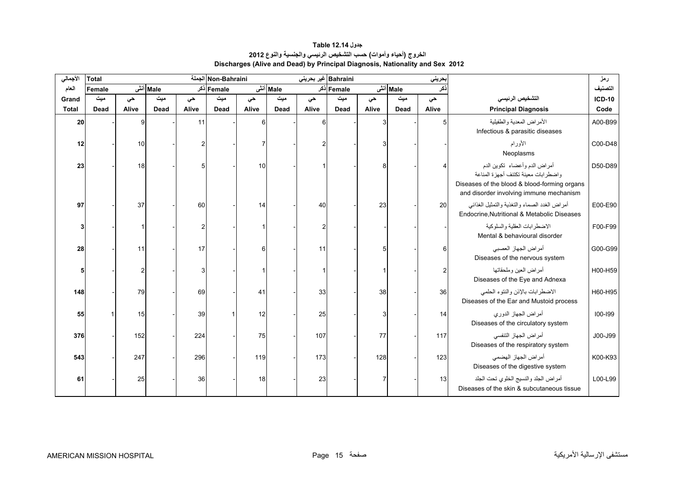## **الخروج (أحياء وأموات) حسب التشخيص الرئيسي والجنسية والنوع <sup>2012</sup> Discharges (Alive and Dead) by Principal Diagnosis, Nationality and Sex 2012 جدول 12.14 Table**

<span id="page-13-0"></span>

| الأجمالي     | <b>Total</b> |       |          |       | Non-Bahraini |       |          | Bahraini غیر بحرینی |            |       |             | حريني         |                                                                                                                                                                  | رمز           |
|--------------|--------------|-------|----------|-------|--------------|-------|----------|---------------------|------------|-------|-------------|---------------|------------------------------------------------------------------------------------------------------------------------------------------------------------------|---------------|
| العام        | Female       |       | Male أنش |       | Female دکر   |       | Male أنش |                     | Female دکر |       | Male أنش    | :کر           |                                                                                                                                                                  | التصنيف       |
| Grand        | میت          | حي    | میت      | حى    | میت          | حي    | میت      | حى                  | میت        | حي    | میت         | حي            | التشخيص الرئيسى                                                                                                                                                  | <b>ICD-10</b> |
| <b>Total</b> | Dead         | Alive | Dead     | Alive | Dead         | Alive | Dead     | Alive               | Dead       | Alive | <b>Dead</b> | Alive         | <b>Principal Diagnosis</b>                                                                                                                                       | Code          |
| 20           |              | a     |          | 11    |              |       |          |                     |            | 3     |             | 5             | الأمراض المعدية والطفيلية<br>Infectious & parasitic diseases                                                                                                     | A00-B99       |
| 12           |              | 10    |          |       |              |       |          |                     |            | 3     |             |               | الأورام<br>Neoplasms                                                                                                                                             | C00-D48       |
| 23           |              | 18    |          |       |              | 10    |          |                     |            | 8     |             |               | أمراض الدم وأعضاء تكوين الدم<br>واضطر ابات معينة تكتنف أجهز ة المناعة<br>Diseases of the blood & blood-forming organs<br>and disorder involving immune mechanism | D50-D89       |
| 97           |              | 37    |          | 60    |              | 14    |          | 40                  |            | 23    |             | 20            | أمراض الغدد الصماء والتغذية والتمثيل الغذائبي<br>Endocrine.Nutritional & Metabolic Diseases                                                                      | E00-E90       |
|              |              |       |          |       |              |       |          | 2                   |            |       |             |               | الاضطر ابات العقلبة والسلوكبة<br>Mental & behavioural disorder                                                                                                   | F00-F99       |
| 28           |              | 11    |          | 17    |              | 6     |          | 11                  |            | 5     |             | 6             | أمراض الجهاز العصبي<br>Diseases of the nervous system                                                                                                            | G00-G99       |
|              |              |       |          |       |              |       |          |                     |            |       |             | $\mathcal{P}$ | أمراض العين وملحقاتها<br>Diseases of the Eye and Adnexa                                                                                                          | H00-H59       |
| 148          |              | 79    |          | 69    |              | 41    |          | 33                  |            | 38    |             | 36            | الاضطرابات بالإذن والنتوء الحلمى<br>Diseases of the Ear and Mustoid process                                                                                      | H60-H95       |
| 55           |              | 15    |          | 39    |              | 12    |          | 25                  |            | 3     |             | 14            | أمراض الجهاز الدوري<br>Diseases of the circulatory system                                                                                                        | 100-199       |
| 376          |              | 152   |          | 224   |              | 75    |          | 107                 |            | 77    |             | 117           | أمراض الجهاز التنفسي<br>Diseases of the respiratory system                                                                                                       | J00-J99       |
| 543          |              | 247   |          | 296   |              | 119   |          | 173                 |            | 128   |             | 123           | أمراض الجهاز الهضمى<br>Diseases of the digestive system                                                                                                          | K00-K93       |
| 61           |              | 25    |          | 36    |              | 18    |          | 23                  |            |       |             | 13            | أمراض الجلد والنسيج الخلوى تحت الجلد<br>Diseases of the skin & subcutaneous tissue                                                                               | L00-L99       |